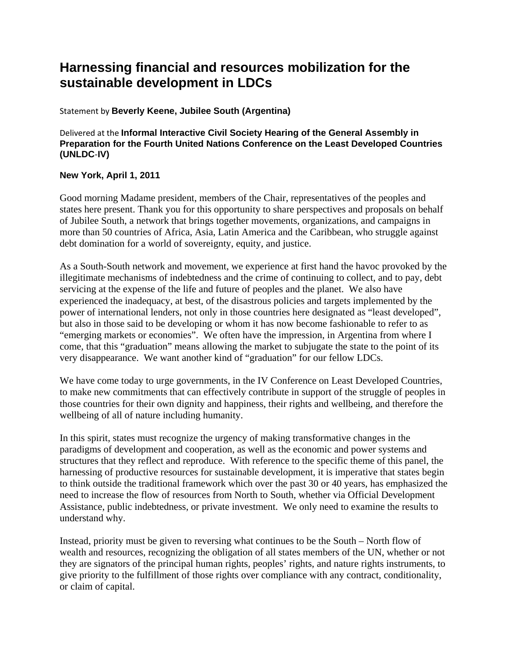## **Harnessing financial and resources mobilization for the sustainable development in LDCs**

## Statement by **Beverly Keene, Jubilee South (Argentina)**

Delivered at the **Informal Interactive Civil Society Hearing of the General Assembly in Preparation for the Fourth United Nations Conference on the Least Developed Countries (UNLDC**‐**IV)** 

## **New York, April 1, 2011**

Good morning Madame president, members of the Chair, representatives of the peoples and states here present. Thank you for this opportunity to share perspectives and proposals on behalf of Jubilee South, a network that brings together movements, organizations, and campaigns in more than 50 countries of Africa, Asia, Latin America and the Caribbean, who struggle against debt domination for a world of sovereignty, equity, and justice.

As a South-South network and movement, we experience at first hand the havoc provoked by the illegitimate mechanisms of indebtedness and the crime of continuing to collect, and to pay, debt servicing at the expense of the life and future of peoples and the planet. We also have experienced the inadequacy, at best, of the disastrous policies and targets implemented by the power of international lenders, not only in those countries here designated as "least developed", but also in those said to be developing or whom it has now become fashionable to refer to as "emerging markets or economies". We often have the impression, in Argentina from where I come, that this "graduation" means allowing the market to subjugate the state to the point of its very disappearance. We want another kind of "graduation" for our fellow LDCs.

We have come today to urge governments, in the IV Conference on Least Developed Countries, to make new commitments that can effectively contribute in support of the struggle of peoples in those countries for their own dignity and happiness, their rights and wellbeing, and therefore the wellbeing of all of nature including humanity.

In this spirit, states must recognize the urgency of making transformative changes in the paradigms of development and cooperation, as well as the economic and power systems and structures that they reflect and reproduce. With reference to the specific theme of this panel, the harnessing of productive resources for sustainable development, it is imperative that states begin to think outside the traditional framework which over the past 30 or 40 years, has emphasized the need to increase the flow of resources from North to South, whether via Official Development Assistance, public indebtedness, or private investment. We only need to examine the results to understand why.

Instead, priority must be given to reversing what continues to be the South – North flow of wealth and resources, recognizing the obligation of all states members of the UN, whether or not they are signators of the principal human rights, peoples' rights, and nature rights instruments, to give priority to the fulfillment of those rights over compliance with any contract, conditionality, or claim of capital.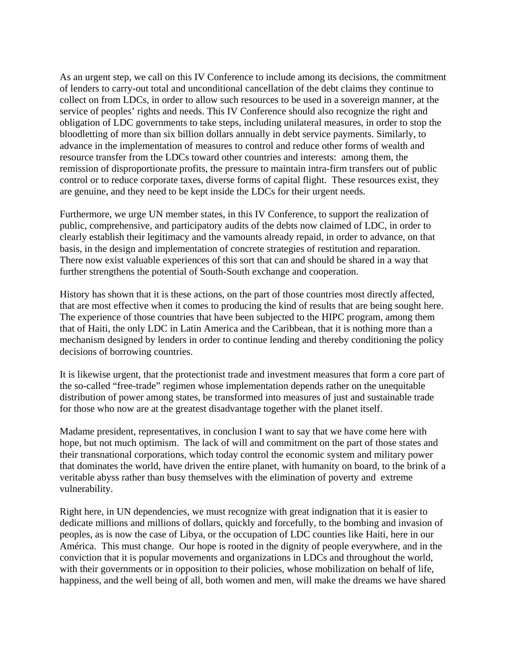As an urgent step, we call on this IV Conference to include among its decisions, the commitment of lenders to carry-out total and unconditional cancellation of the debt claims they continue to collect on from LDCs, in order to allow such resources to be used in a sovereign manner, at the service of peoples' rights and needs. This IV Conference should also recognize the right and obligation of LDC governments to take steps, including unilateral measures, in order to stop the bloodletting of more than six billion dollars annually in debt service payments. Similarly, to advance in the implementation of measures to control and reduce other forms of wealth and resource transfer from the LDCs toward other countries and interests: among them, the remission of disproportionate profits, the pressure to maintain intra-firm transfers out of public control or to reduce corporate taxes, diverse forms of capital flight. These resources exist, they are genuine, and they need to be kept inside the LDCs for their urgent needs.

Furthermore, we urge UN member states, in this IV Conference, to support the realization of public, comprehensive, and participatory audits of the debts now claimed of LDC, in order to clearly establish their legitimacy and the vamounts already repaid, in order to advance, on that basis, in the design and implementation of concrete strategies of restitution and reparation. There now exist valuable experiences of this sort that can and should be shared in a way that further strengthens the potential of South-South exchange and cooperation.

History has shown that it is these actions, on the part of those countries most directly affected, that are most effective when it comes to producing the kind of results that are being sought here. The experience of those countries that have been subjected to the HIPC program, among them that of Haiti, the only LDC in Latin America and the Caribbean, that it is nothing more than a mechanism designed by lenders in order to continue lending and thereby conditioning the policy decisions of borrowing countries.

It is likewise urgent, that the protectionist trade and investment measures that form a core part of the so-called "free-trade" regimen whose implementation depends rather on the unequitable distribution of power among states, be transformed into measures of just and sustainable trade for those who now are at the greatest disadvantage together with the planet itself.

Madame president, representatives, in conclusion I want to say that we have come here with hope, but not much optimism. The lack of will and commitment on the part of those states and their transnational corporations, which today control the economic system and military power that dominates the world, have driven the entire planet, with humanity on board, to the brink of a veritable abyss rather than busy themselves with the elimination of poverty and extreme vulnerability.

Right here, in UN dependencies, we must recognize with great indignation that it is easier to dedicate millions and millions of dollars, quickly and forcefully, to the bombing and invasion of peoples, as is now the case of Libya, or the occupation of LDC counties like Haiti, here in our América. This must change. Our hope is rooted in the dignity of people everywhere, and in the conviction that it is popular movements and organizations in LDCs and throughout the world, with their governments or in opposition to their policies, whose mobilization on behalf of life, happiness, and the well being of all, both women and men, will make the dreams we have shared